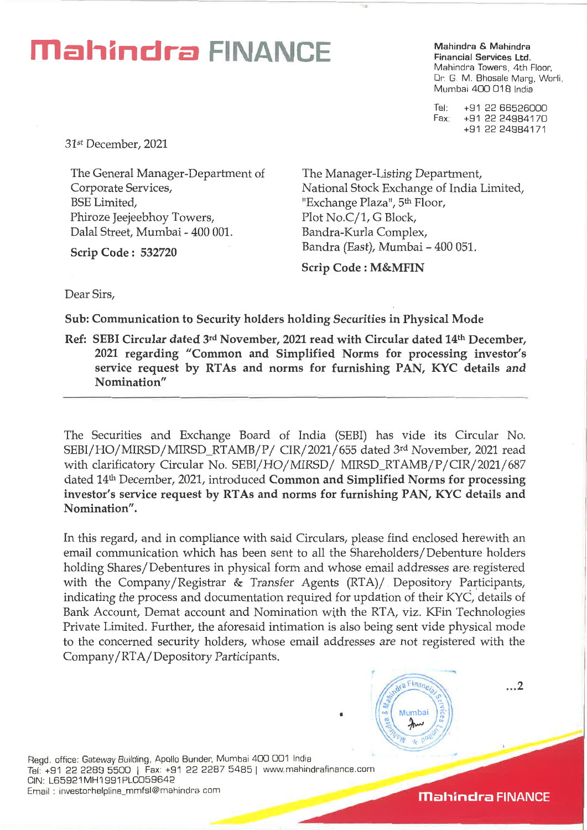# **Mahindra FINANCE Mahindra & Mahindra**

**Financial Services Ltd.**  Mahindra Towers, 4th Floor, Dr. G. M. Bhosale Marg, Worli, Mumbai 400 018 India

Tel: +91 22 66526000 Fax: +91 22 24984170 +91 22 24964171

31st December, 2021

The General Manager-Department of Corporate Services, BSE Limited, Phiroze Jeejeebhoy Towers, Dalai Street, Mumbai - 400 001.

**Scrip Code : 532720** 

The Manager-Listing Department, National Stock Exchange of India Limited, "Exchange Plaza", 5<sup>th</sup> Floor, Plot No.C/1, G Block, Bandra-Kurla Complex, Bandra (East), Mumbai - 400 051.

**Scrip Code : M&MFIN** 

Dear Sirs,

**Sub: Communication to Security holders holding Securities in Physical Mode** 

**Ref: SEBI Circular dated** 3rd **November, 2021 read with Circular dated 14th December, 2021 regarding "Common and Simplified Norms for processing investor's service request by RTAs and norms for furnishing PAN, KYC details and Nomination"** 

The Securities and Exchange Board of India (SEBI) has vide its Circular No. SEBI/ HO/ MIRSD/ MIRSD\_RTAMB/ P/ CIR/ 2021/ 655 dated 3rd November, 2021 read with clarificatory Circular No. SEBI/HO/MIRSD/ MIRSD\_RTAMB/P/CIR/2021/687 dated 14th December, 2021, introduced **Common and Simplified Norms for processing investor's service request by RTAs and norms for furnishing PAN, KYC details and Nomination".** 

In this regard, and in compliance with said Circulars, please find enclosed herewith an email communication which has been sent to all the Shareholders/Debenture holders holding Shares/Debentures in physical form and whose email addresses are. registered with the Company/Registrar & Transfer Agents (RTA)/ Depository Participants, indicating the process and documentation required for updation of their KYC, details of Bank Account, Demat account and Nomination with the RTA, viz. KFin Technologies Private Limited. Further, the aforesaid intimation is also being sent vide physical mode to the concerned security holders, whose email addresses are not registered with the Company/RTA/ Depository Participants.

M

 $E$ ina

Mumbai

Regd. office: Gateway Building, Apollo Bunder, Mumbai 400 001 India Tel: +91 22 2289 5500 | Fax: +91 22 2287 5485 | www.mahindrafinance.com CIN: L65921MH1991PLC059642 Email : investorhelpline\_mmfsl@mahindra corn

**Mahindra FINANCE** 

 $\dots$ 2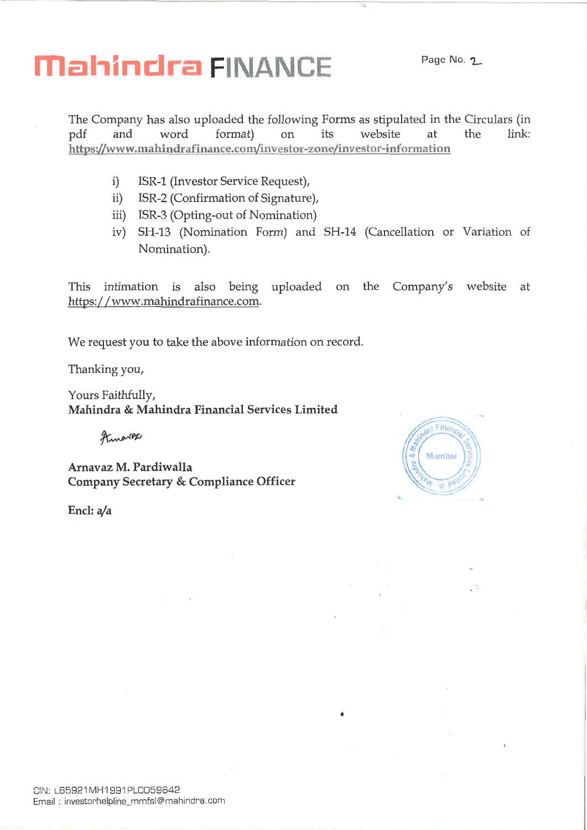# **Mahindra FINANCE** Page No. 2

The Company has also uploaded the following Forms as stipulated in the Circulars (in not form and move vertex velocity on the state of the link: pdf and word format) on its website at the link: https://www.mahindrafinance.com/investor-zone/investor-information

- i) ISR-1 (Investor Service Request),
- ii) ISR-2 (Confirmation of Signature),
- iii) ISR-3 (Opting-out of Nomination)
- iv) SH-13 (Nomination Form) and SH-14 (Cancellation or Variation of Nomination).

•

This intimation is also being uploaded on the Company's website at https: / /www.mahindrafinance.com.

We request you to take the above information on record.

Thanking you,

Yours Faithfully, **Mahindra & Mahindra Financial Services Limited** 

**frAAAPAPP** 

**Arnavaz M. Pardiwalla Company Secretary & Compliance Officer** 

**Encl: a/a** 

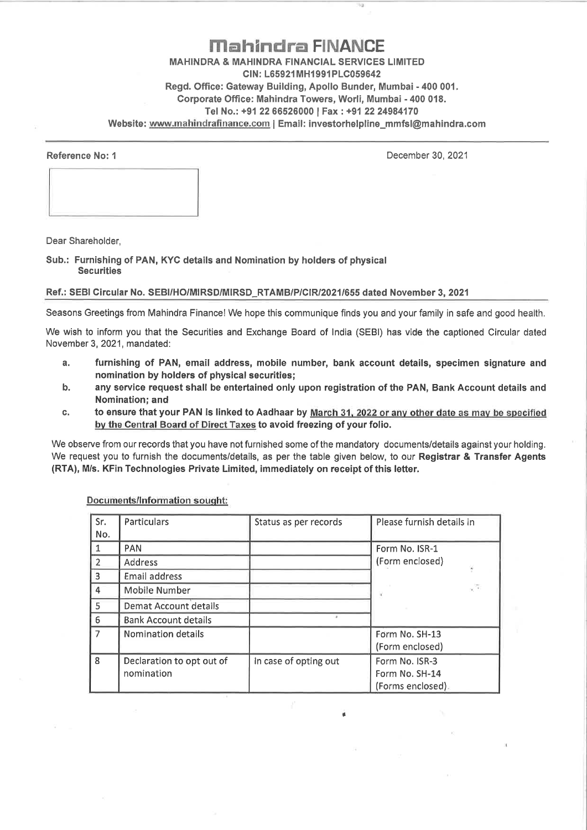### **Mahindra FINANCE MAHINDRA & MAHINDRA FINANCIAL SERVICES LIMITED CIN: L65921MH1991PLC059642 Regd. Office: Gateway Building, Apollo Bunder, Mumbai - 400 001. Corporate Office: Mahindra Towers, Worli, Mumbai - 400 018. Tel No.: +91 22 66526000 I Fax : +91 22 24984170**

Website: www.mahindrafinance.com | Email: investorhelpline\_mmfsl@mahindra.com

**Reference No: 1** December 30, 2021

Dear Shareholder,

**Sub.: Furnishing of PAN, KYC details and Nomination by holders of physical Securities** 

#### **Ref.: SEBI Circular No. SEBI/HO/MIRSD/MIRSD\_RTAMB/P/CIR/2021/655 dated November 3, 2021**

Seasons Greetings from Mahindra Finance! We hope this communique finds you and your family in safe and good health.

We wish to inform you that the Securities and Exchange Board of India (SEBI) has vide the captioned Circular dated November 3, 2021, mandated:

- **a. furnishing of PAN, email address, mobile number, bank account details, specimen signature and nomination by holders of physical securities;**
- **b. any service request shall be entertained only upon registration of the PAN, Bank Account details and Nomination; and**
- **c. to ensure that your PAN is linked to Aadhaar by March** 31. 2022 **or any other date as may** be specified **by the Central Board of Direct Taxes to avoid freezing of your folio.**

We observe from our records that you have not furnished some of the mandatory documents/details against your holding. We request you to furnish the documents/details, as per the table given below, to our **Registrar & Transfer Agents (RTA), M/s. KFin Technologies Private Limited, immediately on receipt of this letter.** 

| Sr.<br>No.     | Particulars                  | Status as per records | Please furnish details in |
|----------------|------------------------------|-----------------------|---------------------------|
| $\vert$ 1      | <b>PAN</b>                   |                       | Form No. ISR-1            |
| $\overline{2}$ | Address                      |                       | (Form enclosed)           |
| $\overline{3}$ | Email address                |                       |                           |
| $\overline{4}$ | Mobile Number                |                       | - 7                       |
| 5              | <b>Demat Account details</b> |                       |                           |
| 6              | <b>Bank Account details</b>  |                       |                           |
| $\overline{7}$ | <b>Nomination details</b>    |                       | Form No. SH-13            |
|                |                              |                       | (Form enclosed)           |
| 8 <sup>1</sup> | Declaration to opt out of    | In case of opting out | Form No. ISR-3            |
|                | nomination                   |                       | Form No. SH-14            |
|                |                              |                       | (Forms enclosed).         |

#### **Documents/Information sought:**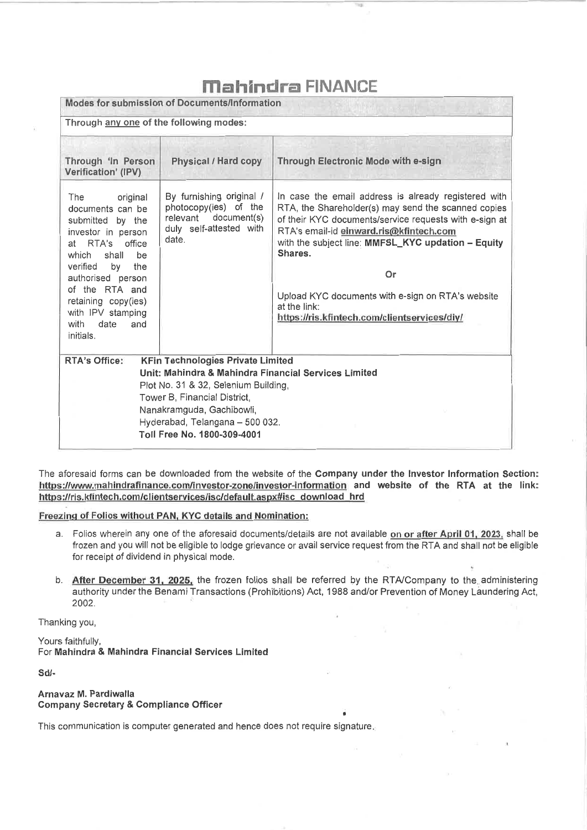## **Mahindro FINANCE**

| Modes for submission of Documents/Information<br>Through any one of the following modes:                                                                                                                                                                                 |                                                                                                                                                                                                                                                                         |                                                                                                                                                                                                                                                                                                                                                                                                              |  |  |  |
|--------------------------------------------------------------------------------------------------------------------------------------------------------------------------------------------------------------------------------------------------------------------------|-------------------------------------------------------------------------------------------------------------------------------------------------------------------------------------------------------------------------------------------------------------------------|--------------------------------------------------------------------------------------------------------------------------------------------------------------------------------------------------------------------------------------------------------------------------------------------------------------------------------------------------------------------------------------------------------------|--|--|--|
| Through 'In Person<br>Verification' (IPV)                                                                                                                                                                                                                                | <b>Physical / Hard copy</b>                                                                                                                                                                                                                                             | <b>Through Electronic Mode with e-sign</b>                                                                                                                                                                                                                                                                                                                                                                   |  |  |  |
| original<br>The<br>documents can be<br>submitted by the<br>investor in person<br>at RTA's office<br>which<br>shall<br>be<br>verified<br>by<br>the<br>authorised person<br>of the RTA and<br>retaining copy(ies)<br>with IPV stamping<br>date<br>and<br>with<br>initials. | By furnishing original /<br>photocopy(ies) of the<br>relevant document(s)<br>duly self-attested with<br>date.                                                                                                                                                           | In case the email address is already registered with<br>RTA, the Shareholder(s) may send the scanned copies<br>of their KYC documents/service requests with e-sign at<br>RTA's email-id einward.ris@kfintech.com<br>with the subject line: MMFSL KYC updation - Equity<br>Shares.<br>Or<br>Upload KYC documents with e-sign on RTA's website<br>at the link:<br>https://ris.kfintech.com/clientservices/diy/ |  |  |  |
| <b>RTA's Office:</b>                                                                                                                                                                                                                                                     | <b>KFin Technologies Private Limited</b><br>Unit: Mahindra & Mahindra Financial Services Limited<br>Plot No. 31 & 32, Selenium Building,<br>Tower B, Financial District,<br>Nanakramguda, Gachibowli,<br>Hyderabad, Telangana - 500 032.<br>Toll Free No. 1800-309-4001 |                                                                                                                                                                                                                                                                                                                                                                                                              |  |  |  |

The aforesaid forms can be downloaded from the website of the **Company under the Investor Information Section:**  https://www.mahindrafinance.com/investor-zone/investor-information and website of the RTA at the link: https://ris.kfintech.com/clientservices/isc/default.aspx#isc\_download\_hrd

#### **Freezing of Folios without PAN, KYC details and Nomination:**

- a. Folios wherein any one of the aforesaid documents/details are not available **on or after April 01, 2023,** shall **be**  frozen and you will not be eligible to lodge grievance or avail service request from the RTA and shall not be eligible for receipt of dividend in physical mode.
- **b. After December 31, 2025,** the frozen folios shall be referred by the RTA/Company to the. administering authority under the Benami Transactions (Prohibitions) Act, 1988 and/or Prevention of Money Laundering Act, 2002.

•

Thanking you,

Yours faithfully, For **Mahindra & Mahindra Financial Services Limited** 

**Sd/-** 

#### **Arnavaz M. Pardiwalla Company Secretary & Compliance Officer**

This communication is computer generated and hence does not require signature.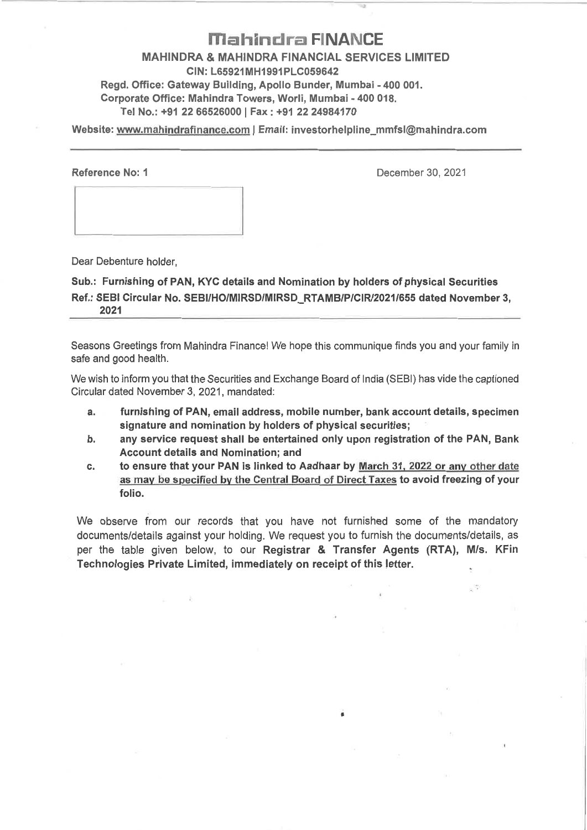## **Mahindra FINANCE**

**MAHINDRA & MAHINDRA FINANCIAL SERVICES LIMITED CIN: L65921MH1991PLC059642 Regd. Office: Gateway Building, Apollo Bunder, Mumbai - 400 001. Corporate Office: Mahindra Towers, Worli, Mumbai - 400 018. Tel No.: +91 22 66526000 I Fax : +91 22 24984170** 

**Website:** www.mahindrafinance.com **I Email: investorhelpline\_mmfsl@mahindra.com** 

**Reference No: 1** December 30, 2021

ç.

Dear Debenture holder,

**Sub.: Furnishing of PAN, KYC details and Nomination by holders of physical Securities**  Ref.: SEBI Circular No. SEBI/HO/MIRSD/MIRSD\_RTAMB/P/CIR/2021/655 dated November 3, **2021** 

Seasons Greetings from Mahindra Finance! We hope this communique finds you and your family in safe and good health.

We wish to inform you that the Securities and Exchange Board of India (SEBI) has vide the captioned Circular dated November 3, 2021, mandated:

- **a. furnishing of PAN, email address, mobile number, bank account details, specimen signature and nomination by holders of physical securities;**
- **b. any service request shall be entertained only upon registration of the PAN, Bank Account details and Nomination; and**
- **c. to ensure that your PAN is linked to Aadhaar by** March 31, 2022 or any other date as may be specified by the Central Board of Direct Taxes **to avoid freezing of your folio.**

We observe from our records that you have not furnished some of the mandatory documents/details against your holding. We request you to furnish the documents/details, as per the table given below, to our **Registrar & Transfer Agents (RTA), M/s. KFin Technologies Private Limited, immediately on receipt of this letter.** 

ø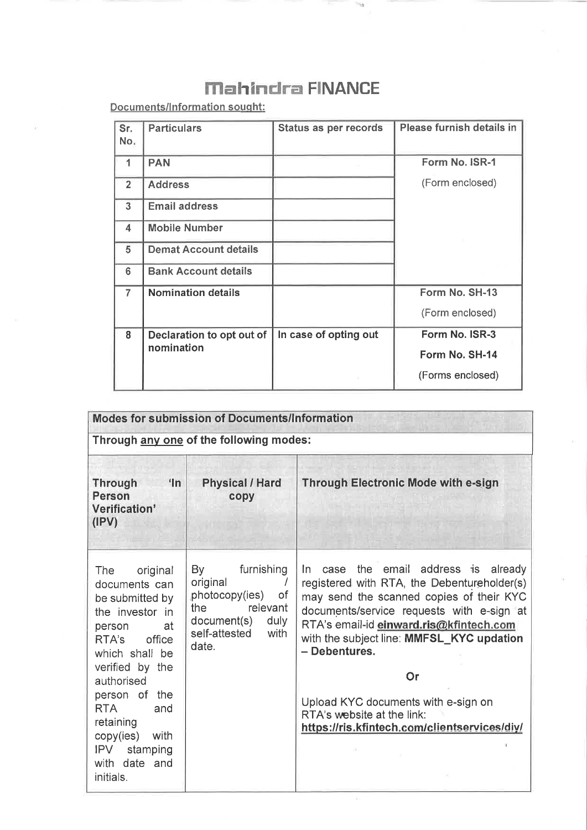## **Mahindra FINANCE**

**Documents/Information sought:** 

| Sr.<br>No.     | <b>Particulars</b>                      | <b>Status as per records</b> | Please furnish details in |
|----------------|-----------------------------------------|------------------------------|---------------------------|
| 1              | <b>PAN</b>                              |                              | Form No. ISR-1            |
| $\overline{2}$ | <b>Address</b>                          |                              | (Form enclosed)           |
| 3              | <b>Email address</b>                    |                              |                           |
| 4              | <b>Mobile Number</b>                    |                              |                           |
| 5              | <b>Demat Account details</b>            |                              |                           |
| 6              | <b>Bank Account details</b>             |                              |                           |
| $\overline{7}$ | <b>Nomination details</b>               |                              | Form No. SH-13            |
|                |                                         |                              | (Form enclosed)           |
| 8              | Declaration to opt out of<br>nomination | In case of opting out        | Form No. ISR-3            |
|                |                                         |                              | Form No. SH-14            |
|                |                                         |                              | (Forms enclosed)          |

| <b>Modes for submission of Documents/Information</b>                                                                                                                                                                                                                                         |                                                                                                                               |                                                                                                                                                                                                                                                                                                                                                                                                                      |  |  |  |  |
|----------------------------------------------------------------------------------------------------------------------------------------------------------------------------------------------------------------------------------------------------------------------------------------------|-------------------------------------------------------------------------------------------------------------------------------|----------------------------------------------------------------------------------------------------------------------------------------------------------------------------------------------------------------------------------------------------------------------------------------------------------------------------------------------------------------------------------------------------------------------|--|--|--|--|
| Through any one of the following modes:                                                                                                                                                                                                                                                      |                                                                                                                               |                                                                                                                                                                                                                                                                                                                                                                                                                      |  |  |  |  |
| n<br><b>Through</b><br><b>Person</b><br>Verification'<br>(IPV)                                                                                                                                                                                                                               | <b>Physical / Hard</b><br>copy                                                                                                | <b>Through Electronic Mode with e-sign</b>                                                                                                                                                                                                                                                                                                                                                                           |  |  |  |  |
| The<br>original<br>documents can<br>be submitted by<br>the investor in<br>at<br>person<br>office<br>RTA's<br>which shall be<br>verified by the<br>authorised<br>person of the<br><b>RTA</b><br>and<br>retaining<br>copy(ies)<br>with<br><b>IPV</b><br>stamping<br>with date and<br>initials. | furnishing<br>By<br>original<br>photocopy(ies) of<br>relevant<br>the<br>document(s)<br>duly<br>self-attested<br>with<br>date. | case the email address is already<br>In.<br>registered with RTA, the Debentureholder(s)<br>may send the scanned copies of their KYC<br>documents/service requests with e-sign at<br>RTA's email-id einward.ris@kfintech.com<br>with the subject line: MMFSL_KYC updation<br>- Debentures.<br>Or<br>Upload KYC documents with e-sign on<br>RTA's website at the link:<br>https://ris.kfintech.com/clientservices/diy/ |  |  |  |  |